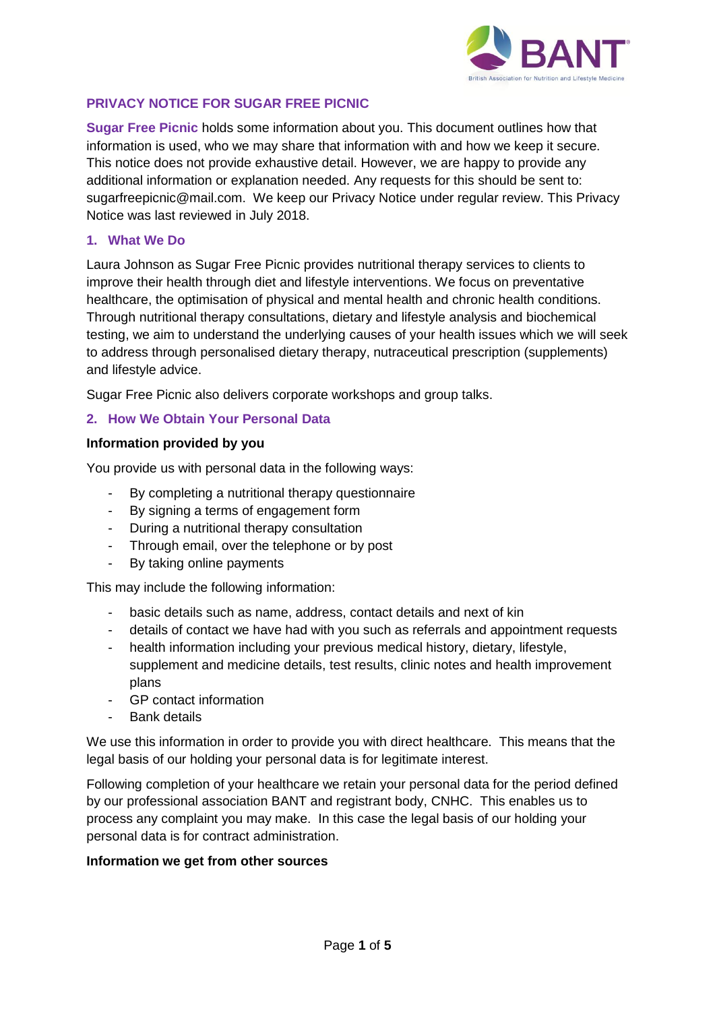

# **PRIVACY NOTICE FOR SUGAR FREE PICNIC**

**Sugar Free Picnic** holds some information about you. This document outlines how that information is used, who we may share that information with and how we keep it secure. This notice does not provide exhaustive detail. However, we are happy to provide any additional information or explanation needed. Any requests for this should be sent to: sugarfreepicnic@mail.com. We keep our Privacy Notice under regular review. This Privacy Notice was last reviewed in July 2018.

### **1. What We Do**

Laura Johnson as Sugar Free Picnic provides nutritional therapy services to clients to improve their health through diet and lifestyle interventions. We focus on preventative healthcare, the optimisation of physical and mental health and chronic health conditions. Through nutritional therapy consultations, dietary and lifestyle analysis and biochemical testing, we aim to understand the underlying causes of your health issues which we will seek to address through personalised dietary therapy, nutraceutical prescription (supplements) and lifestyle advice.

Sugar Free Picnic also delivers corporate workshops and group talks.

## **2. How We Obtain Your Personal Data**

#### **Information provided by you**

You provide us with personal data in the following ways:

- By completing a nutritional therapy questionnaire
- By signing a terms of engagement form
- During a nutritional therapy consultation
- Through email, over the telephone or by post
- By taking online payments

This may include the following information:

- basic details such as name, address, contact details and next of kin
- details of contact we have had with you such as referrals and appointment requests
- health information including your previous medical history, dietary, lifestyle, supplement and medicine details, test results, clinic notes and health improvement plans
- GP contact information
- Bank details

We use this information in order to provide you with direct healthcare. This means that the legal basis of our holding your personal data is for legitimate interest.

Following completion of your healthcare we retain your personal data for the period defined by our professional association BANT and registrant body, CNHC. This enables us to process any complaint you may make. In this case the legal basis of our holding your personal data is for contract administration.

#### **Information we get from other sources**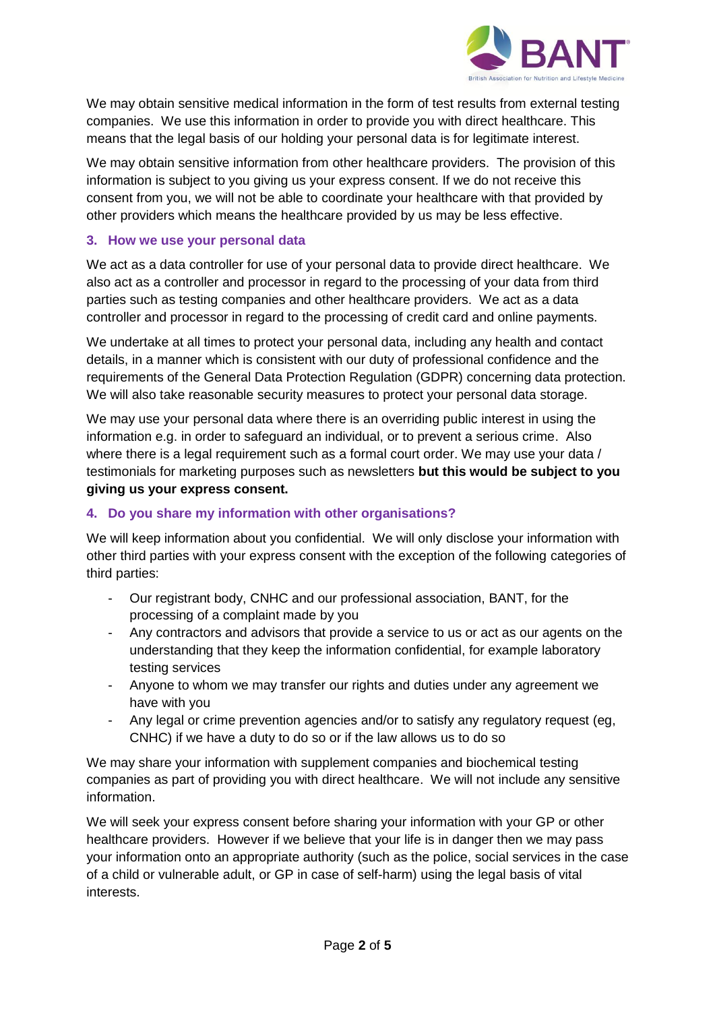

We may obtain sensitive medical information in the form of test results from external testing companies. We use this information in order to provide you with direct healthcare. This means that the legal basis of our holding your personal data is for legitimate interest.

We may obtain sensitive information from other healthcare providers. The provision of this information is subject to you giving us your express consent. If we do not receive this consent from you, we will not be able to coordinate your healthcare with that provided by other providers which means the healthcare provided by us may be less effective.

## **3. How we use your personal data**

We act as a data controller for use of your personal data to provide direct healthcare. We also act as a controller and processor in regard to the processing of your data from third parties such as testing companies and other healthcare providers. We act as a data controller and processor in regard to the processing of credit card and online payments.

We undertake at all times to protect your personal data, including any health and contact details, in a manner which is consistent with our duty of professional confidence and the requirements of the General Data Protection Regulation (GDPR) concerning data protection. We will also take reasonable security measures to protect your personal data storage.

We may use your personal data where there is an overriding public interest in using the information e.g. in order to safeguard an individual, or to prevent a serious crime. Also where there is a legal requirement such as a formal court order. We may use your data / testimonials for marketing purposes such as newsletters **but this would be subject to you giving us your express consent.**

# **4. Do you share my information with other organisations?**

We will keep information about you confidential. We will only disclose your information with other third parties with your express consent with the exception of the following categories of third parties:

- Our registrant body, CNHC and our professional association, BANT, for the processing of a complaint made by you
- Any contractors and advisors that provide a service to us or act as our agents on the understanding that they keep the information confidential, for example laboratory testing services
- Anyone to whom we may transfer our rights and duties under any agreement we have with you
- Any legal or crime prevention agencies and/or to satisfy any regulatory request (eg, CNHC) if we have a duty to do so or if the law allows us to do so

We may share your information with supplement companies and biochemical testing companies as part of providing you with direct healthcare. We will not include any sensitive information.

We will seek your express consent before sharing your information with your GP or other healthcare providers. However if we believe that your life is in danger then we may pass your information onto an appropriate authority (such as the police, social services in the case of a child or vulnerable adult, or GP in case of self-harm) using the legal basis of vital interests.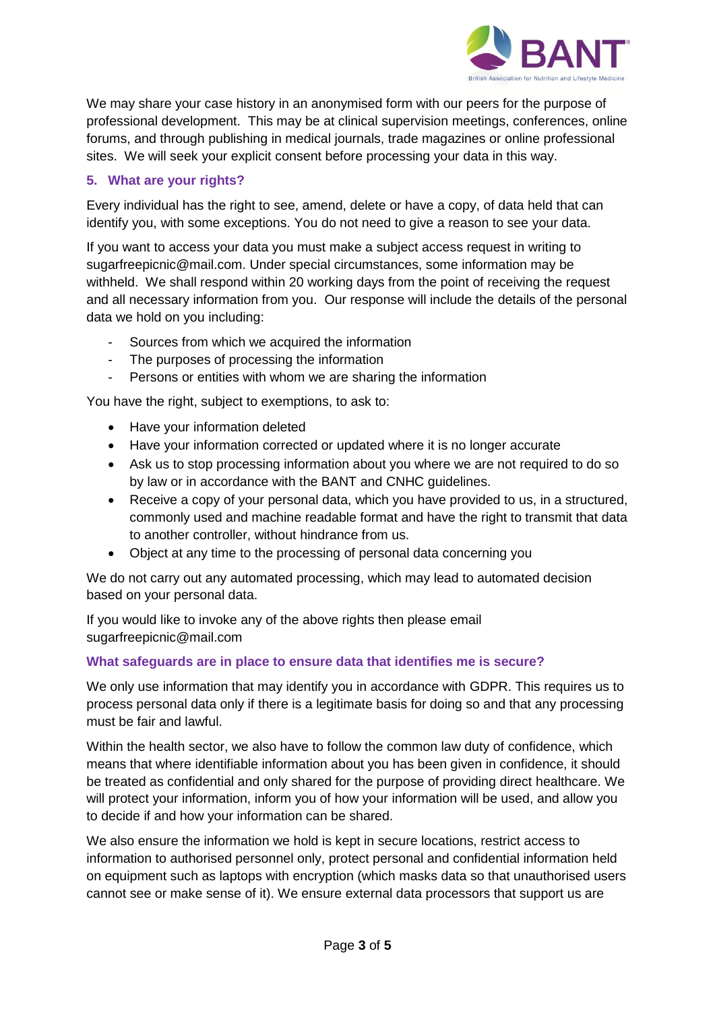

We may share your case history in an anonymised form with our peers for the purpose of professional development. This may be at clinical supervision meetings, conferences, online forums, and through publishing in medical journals, trade magazines or online professional sites. We will seek your explicit consent before processing your data in this way.

# **5. What are your rights?**

Every individual has the right to see, amend, delete or have a copy, of data held that can identify you, with some exceptions. You do not need to give a reason to see your data.

If you want to access your data you must make a subject access request in writing to sugarfreepicnic@mail.com. Under special circumstances, some information may be withheld. We shall respond within 20 working days from the point of receiving the request and all necessary information from you. Our response will include the details of the personal data we hold on you including:

- Sources from which we acquired the information
- The purposes of processing the information
- Persons or entities with whom we are sharing the information

You have the right, subject to exemptions, to ask to:

- Have your information deleted
- Have your information corrected or updated where it is no longer accurate
- Ask us to stop processing information about you where we are not required to do so by law or in accordance with the BANT and CNHC guidelines.
- Receive a copy of your personal data, which you have provided to us, in a structured, commonly used and machine readable format and have the right to transmit that data to another controller, without hindrance from us.
- Object at any time to the processing of personal data concerning you

We do not carry out any automated processing, which may lead to automated decision based on your personal data.

If you would like to invoke any of the above rights then please email sugarfreepicnic@mail.com

## **What safeguards are in place to ensure data that identifies me is secure?**

We only use information that may identify you in accordance with GDPR. This requires us to process personal data only if there is a legitimate basis for doing so and that any processing must be fair and lawful.

Within the health sector, we also have to follow the common law duty of confidence, which means that where identifiable information about you has been given in confidence, it should be treated as confidential and only shared for the purpose of providing direct healthcare. We will protect your information, inform you of how your information will be used, and allow you to decide if and how your information can be shared.

We also ensure the information we hold is kept in secure locations, restrict access to information to authorised personnel only, protect personal and confidential information held on equipment such as laptops with encryption (which masks data so that unauthorised users cannot see or make sense of it). We ensure external data processors that support us are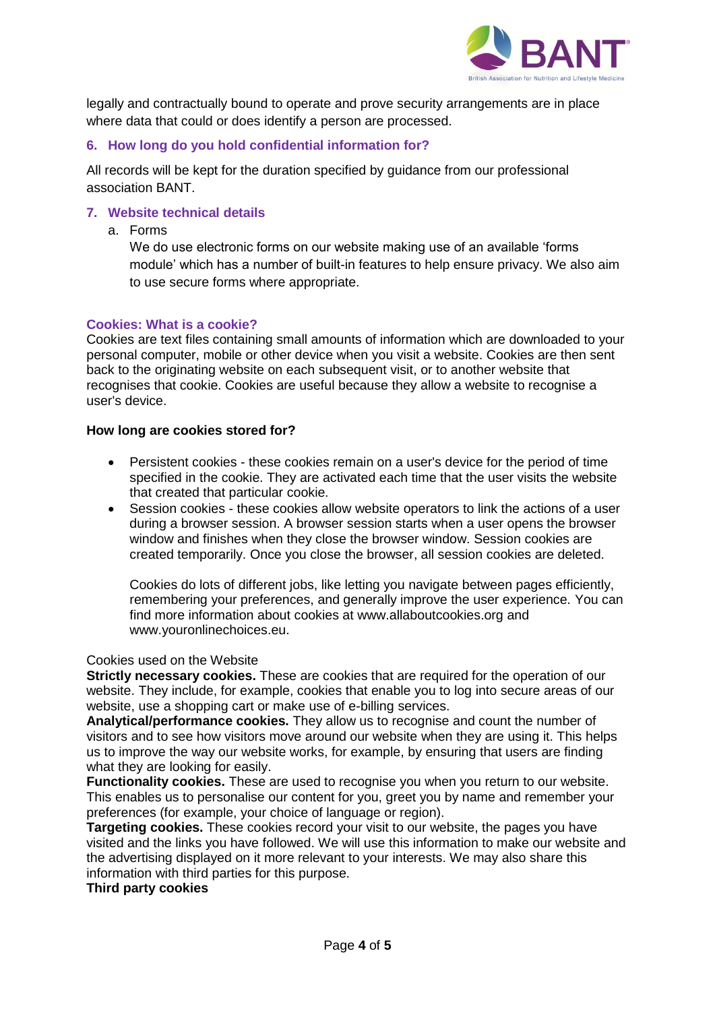

legally and contractually bound to operate and prove security arrangements are in place where data that could or does identify a person are processed.

## **6. How long do you hold confidential information for?**

All records will be kept for the duration specified by guidance from our professional association BANT.

#### **7. Website technical details**

a. Forms

We do use electronic forms on our website making use of an available 'forms module' which has a number of built-in features to help ensure privacy. We also aim to use secure forms where appropriate.

#### **Cookies: What is a cookie?**

Cookies are text files containing small amounts of information which are downloaded to your personal computer, mobile or other device when you visit a website. Cookies are then sent back to the originating website on each subsequent visit, or to another website that recognises that cookie. Cookies are useful because they allow a website to recognise a user's device.

#### **How long are cookies stored for?**

- Persistent cookies these cookies remain on a user's device for the period of time specified in the cookie. They are activated each time that the user visits the website that created that particular cookie.
- Session cookies these cookies allow website operators to link the actions of a user during a browser session. A browser session starts when a user opens the browser window and finishes when they close the browser window. Session cookies are created temporarily. Once you close the browser, all session cookies are deleted.

Cookies do lots of different jobs, like letting you navigate between pages efficiently, remembering your preferences, and generally improve the user experience. You can find more information about cookies at www.allaboutcookies.org and www.youronlinechoices.eu.

#### Cookies used on the Website

**Strictly necessary cookies.** These are cookies that are required for the operation of our website. They include, for example, cookies that enable you to log into secure areas of our website, use a shopping cart or make use of e-billing services.

**Analytical/performance cookies.** They allow us to recognise and count the number of visitors and to see how visitors move around our website when they are using it. This helps us to improve the way our website works, for example, by ensuring that users are finding what they are looking for easily.

**Functionality cookies.** These are used to recognise you when you return to our website. This enables us to personalise our content for you, greet you by name and remember your preferences (for example, your choice of language or region).

**Targeting cookies.** These cookies record your visit to our website, the pages you have visited and the links you have followed. We will use this information to make our website and the advertising displayed on it more relevant to your interests. We may also share this information with third parties for this purpose.

## **Third party cookies**